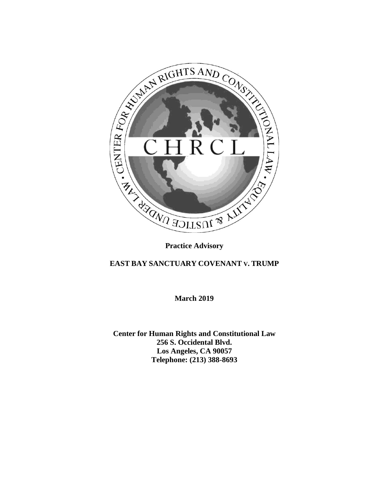

## **EAST BAY SANCTUARY COVENANT V. TRUMP**

**March 2019**

**Center for Human Rights and Constitutional Law 256 S. Occidental Blvd. Los Angeles, CA 90057 Telephone: (213) 388-8693**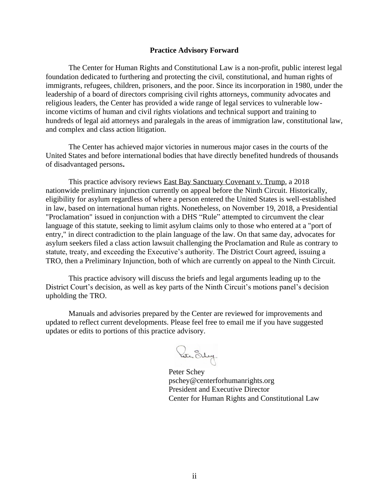#### **Practice Advisory Forward**

The Center for Human Rights and Constitutional Law is a non-profit, public interest legal foundation dedicated to furthering and protecting the civil, constitutional, and human rights of immigrants, refugees, children, prisoners, and the poor. Since its incorporation in 1980, under the leadership of a board of directors comprising civil rights attorneys, community advocates and religious leaders, the Center has provided a wide range of legal services to vulnerable lowincome victims of human and civil rights violations and technical support and training to hundreds of legal aid attorneys and paralegals in the areas of immigration law, constitutional law, and complex and class action litigation.

The Center has achieved major victories in numerous major cases in the courts of the United States and before international bodies that have directly benefited hundreds of thousands of disadvantaged persons**.**

This practice advisory reviews East Bay Sanctuary Covenant v. Trump, a 2018 nationwide preliminary injunction currently on appeal before the Ninth Circuit. Historically, eligibility for asylum regardless of where a person entered the United States is well-established in law, based on international human rights. Nonetheless, on November 19, 2018, a Presidential "Proclamation" issued in conjunction with a DHS "Rule" attempted to circumvent the clear language of this statute, seeking to limit asylum claims only to those who entered at a "port of entry," in direct contradiction to the plain language of the law. On that same day, advocates for asylum seekers filed a class action lawsuit challenging the Proclamation and Rule as contrary to statute, treaty, and exceeding the Executive's authority. The District Court agreed, issuing a TRO, then a Preliminary Injunction, both of which are currently on appeal to the Ninth Circuit.

This practice advisory will discuss the briefs and legal arguments leading up to the District Court's decision, as well as key parts of the Ninth Circuit's motions panel's decision upholding the TRO.

Manuals and advisories prepared by the Center are reviewed for improvements and updated to reflect current developments. Please feel free to email me if you have suggested updates or edits to portions of this practice advisory.

Rece Sug.

Peter Schey pschey@centerforhumanrights.org President and Executive Director Center for Human Rights and Constitutional Law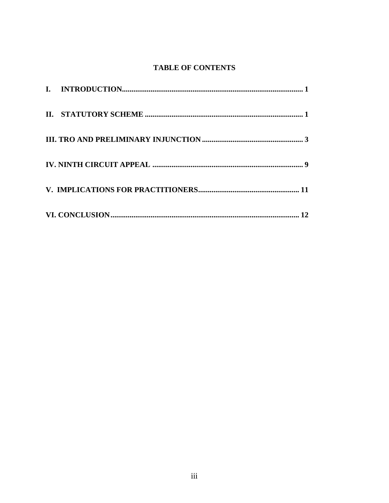# **TABLE OF CONTENTS**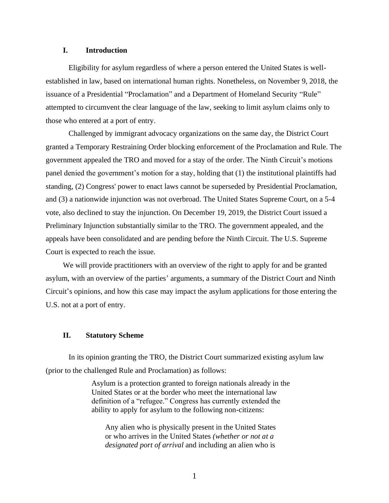## <span id="page-4-0"></span>**I. Introduction**

Eligibility for asylum regardless of where a person entered the United States is wellestablished in law, based on international human rights. Nonetheless, on November 9, 2018, the issuance of a Presidential "Proclamation" and a Department of Homeland Security "Rule" attempted to circumvent the clear language of the law, seeking to limit asylum claims only to those who entered at a port of entry.

Challenged by immigrant advocacy organizations on the same day, the District Court granted a Temporary Restraining Order blocking enforcement of the Proclamation and Rule. The government appealed the TRO and moved for a stay of the order. The Ninth Circuit's motions panel denied the government's motion for a stay, holding that (1) the institutional plaintiffs had standing, (2) Congress' power to enact laws cannot be superseded by Presidential Proclamation, and (3) a nationwide injunction was not overbroad. The United States Supreme Court, on a 5-4 vote, also declined to stay the injunction. On December 19, 2019, the District Court issued a Preliminary Injunction substantially similar to the TRO. The government appealed, and the appeals have been consolidated and are pending before the Ninth Circuit. The U.S. Supreme Court is expected to reach the issue.

We will provide practitioners with an overview of the right to apply for and be granted asylum, with an overview of the parties' arguments, a summary of the District Court and Ninth Circuit's opinions, and how this case may impact the asylum applications for those entering the U.S. not at a port of entry.

## **II. Statutory Scheme**

In its opinion granting the TRO, the District Court summarized existing asylum law (prior to the challenged Rule and Proclamation) as follows:

> Asylum is a protection granted to foreign nationals already in the United States or at the border who meet the international law definition of a "refugee." Congress has currently extended the ability to apply for asylum to the following non-citizens:

Any alien who is physically present in the United States or who arrives in the United States *(whether or not at a designated port of arrival* and including an alien who is

1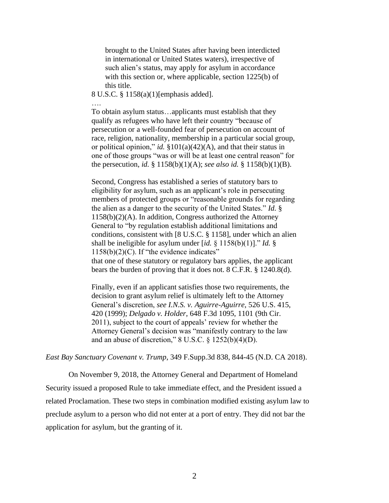brought to the United States after having been interdicted in international or United States waters), irrespective of such alien's status, may apply for asylum in accordance with this section or, where applicable, section 1225(b) of this title.

8 U.S.C. § 1158(a)(1)[emphasis added].

….

To obtain asylum status…applicants must establish that they qualify as refugees who have left their country "because of persecution or a well-founded fear of persecution on account of race, religion, nationality, membership in a particular social group, or political opinion," *id.* §101(a)(42)(A), and that their status in one of those groups "was or will be at least one central reason" for the persecution, *id.* § 1158(b)(1)(A); *see also id.* § 1158(b)(1)(B).

Second, Congress has established a series of statutory bars to eligibility for asylum, such as an applicant's role in persecuting members of protected groups or "reasonable grounds for regarding the alien as a danger to the security of the United States." *Id.* § 1158(b)(2)(A). In addition, Congress authorized the Attorney General to "by regulation establish additional limitations and conditions, consistent with [8 U.S.C. § 1158], under which an alien shall be ineligible for asylum under [*id.* § 1158(b)(1)]." *Id.* § 1158(b)(2)(C). If "the evidence indicates" that one of these statutory or regulatory bars applies, the applicant bears the burden of proving that it does not. 8 C.F.R. § 1240.8(d).

Finally, even if an applicant satisfies those two requirements, the decision to grant asylum relief is ultimately left to the Attorney General's discretion, *see I.N.S. v. Aguirre-Aguirre*, 526 U.S. 415, 420 (1999); *Delgado v. Holder*, 648 F.3d 1095, 1101 (9th Cir. 2011), subject to the court of appeals' review for whether the Attorney General's decision was "manifestly contrary to the law and an abuse of discretion,"  $8$  U.S.C.  $\frac{6}{9}$  1252(b)(4)(D).

*East Bay Sanctuary Covenant v. Trump*, 349 F.Supp.3d 838, 844-45 (N.D. CA 2018).

On November 9, 2018, the Attorney General and Department of Homeland Security issued a proposed Rule to take immediate effect, and the President issued a related Proclamation. These two steps in combination modified existing asylum law to preclude asylum to a person who did not enter at a port of entry. They did not bar the application for asylum, but the granting of it.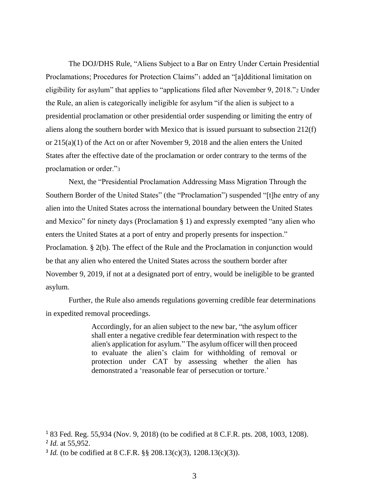The DOJ/DHS Rule, "Aliens Subject to a Bar on Entry Under Certain Presidential Proclamations; Procedures for Protection Claims"<sup>1</sup> added an "[a]dditional limitation on eligibility for asylum" that applies to "applications filed after November 9, 2018."<sup>2</sup> Under the Rule, an alien is categorically ineligible for asylum "if the alien is subject to a presidential proclamation or other presidential order suspending or limiting the entry of aliens along the southern border with Mexico that is issued pursuant to subsection 212(f) or 215(a)(1) of the Act on or after November 9, 2018 and the alien enters the United States after the effective date of the proclamation or order contrary to the terms of the proclamation or order."<sup>3</sup>

Next, the "Presidential Proclamation Addressing Mass Migration Through the Southern Border of the United States" (the "Proclamation") suspended "[t]he entry of any alien into the United States across the international boundary between the United States and Mexico" for ninety days (Proclamation § 1) and expressly exempted "any alien who enters the United States at a port of entry and properly presents for inspection." Proclamation*.* § 2(b). The effect of the Rule and the Proclamation in conjunction would be that any alien who entered the United States across the southern border after November 9, 2019, if not at a designated port of entry, would be ineligible to be granted asylum.

Further, the Rule also amends regulations governing credible fear determinations in expedited removal proceedings.

> Accordingly, for an alien subject to the new bar, "the asylum officer shall enter a negative credible fear determination with respect to the alien's application for asylum." The asylum officer will then proceed to evaluate the alien's claim for withholding of removal or protection under CAT by assessing whether the alien has demonstrated a 'reasonable fear of persecution or torture.'

<sup>1</sup> 83 Fed. Reg. 55,934 (Nov. 9, 2018) (to be codified at 8 C.F.R. pts. 208, 1003, 1208).

<sup>2</sup> *Id.* at 55,952.

<sup>&</sup>lt;sup>3</sup> *Id.* (to be codified at 8 C.F.R. §§ 208.13(c)(3), 1208.13(c)(3)).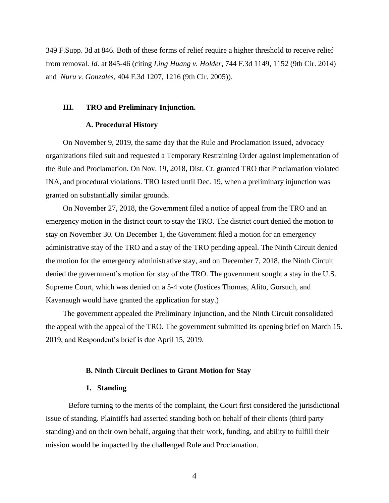349 F.Supp. 3d at 846. Both of these forms of relief require a higher threshold to receive relief from removal. *Id.* at 845-46 (citing *[Ling Huang v. Holder](https://advance.lexis.com/api/document?collection=cases&id=urn:contentItem:5BR1-PVT1-F04K-V00Y-00000-00&context=)*[, 744 F.3d 1149, 1152 \(9th Cir. 2014\)](https://advance.lexis.com/api/document?collection=cases&id=urn:contentItem:5BR1-PVT1-F04K-V00Y-00000-00&context=) and *[Nuru v. Gonzales](https://advance.lexis.com/api/document?collection=cases&id=urn:contentItem:4G0N-B640-0038-X40V-00000-00&context=)*[, 404 F.3d 1207, 1216 \(9th Cir. 2005\)\)](https://advance.lexis.com/api/document?collection=cases&id=urn:contentItem:4G0N-B640-0038-X40V-00000-00&context=).

#### **III. TRO and Preliminary Injunction.**

#### **A. Procedural History**

On November 9, 2019, the same day that the Rule and Proclamation issued, advocacy organizations filed suit and requested a Temporary Restraining Order against implementation of the Rule and Proclamation. On Nov. 19, 2018, Dist. Ct. granted TRO that Proclamation violated INA, and procedural violations. TRO lasted until Dec. 19, when a preliminary injunction was granted on substantially similar grounds.

On November 27, 2018, the Government filed a notice of appeal from the TRO and an emergency motion in the district court to stay the TRO. The district court denied the motion to stay on November 30. On December 1, the Government filed a motion for an emergency administrative stay of the TRO and a stay of the TRO pending appeal. The Ninth Circuit denied the motion for the emergency administrative stay, and on December 7, 2018, the Ninth Circuit denied the government's motion for stay of the TRO. The government sought a stay in the U.S. Supreme Court, which was denied on a 5-4 vote (Justices Thomas, Alito, Gorsuch, and Kavanaugh would have granted the application for stay.)

The government appealed the Preliminary Injunction, and the Ninth Circuit consolidated the appeal with the appeal of the TRO. The government submitted its opening brief on March 15. 2019, and Respondent's brief is due April 15, 2019.

#### **B. Ninth Circuit Declines to Grant Motion for Stay**

#### **1. Standing**

Before turning to the merits of the complaint, the Court first considered the jurisdictional issue of standing. Plaintiffs had asserted standing both on behalf of their clients (third party standing) and on their own behalf, arguing that their work, funding, and ability to fulfill their mission would be impacted by the challenged Rule and Proclamation.

4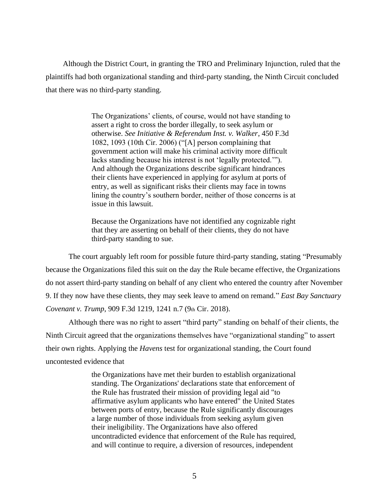Although the District Court, in granting the TRO and Preliminary Injunction, ruled that the plaintiffs had both organizational standing and third-party standing, the Ninth Circuit concluded that there was no third-party standing.

> The Organizations' clients, of course, would not have standing to assert a right to cross the border illegally, to seek asylum or otherwise. *See Initiative & Referendum Inst. v. Walker*, 450 F.3d 1082, 1093 (10th Cir. 2006) ("[A] person complaining that government action will make his criminal activity more difficult lacks standing because his interest is not 'legally protected.'"). And although the Organizations describe significant hindrances their clients have experienced in applying for asylum at ports of entry, as well as significant risks their clients may face in towns lining the country's southern border, neither of those concerns is at issue in this lawsuit.

> Because the Organizations have not identified any cognizable right that they are asserting on behalf of their clients, they do not have third-party standing to sue.

The court arguably left room for possible future third-party standing, stating "Presumably because the Organizations filed this suit on the day the Rule became effective, the Organizations do not assert third-party standing on behalf of any client who entered the country after November 9. If they now have these clients, they may seek leave to amend on remand." *East Bay Sanctuary Covenant v. Trump*, 909 F.3d 1219, 1241 n.7 (9th Cir. 2018).

Although there was no right to assert "third party" standing on behalf of their clients, the Ninth Circuit agreed that the organizations themselves have "organizational standing" to assert their own rights. Applying the *Havens* test for organizational standing, the Court found uncontested evidence that

> the Organizations have met their burden to establish organizational standing. The Organizations' declarations state that enforcement of the Rule has frustrated their mission of providing legal aid "to affirmative asylum applicants who have entered" the United States between ports of entry, because the Rule significantly discourages a large number of those individuals from seeking asylum given their ineligibility. The Organizations have also offered uncontradicted evidence that enforcement of the Rule has required, and will continue to require, a diversion of resources, independent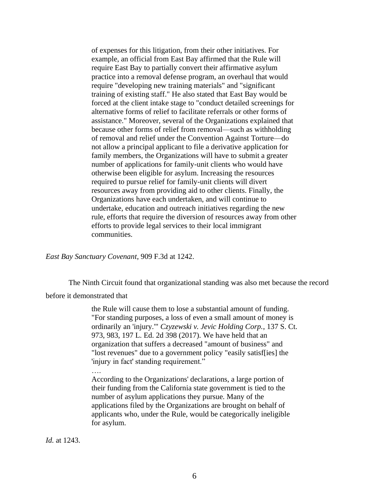of expenses for this litigation, from their other initiatives. For example, an official from East Bay affirmed that the Rule will require East Bay to partially convert their affirmative asylum practice into a removal defense program, an overhaul that would require "developing new training materials" and "significant training of existing staff." He also stated that East Bay would be forced at the client intake stage to "conduct detailed screenings for alternative forms of relief to facilitate referrals or other forms of assistance." Moreover, several of the Organizations explained that because other forms of relief from removal—such as withholding of removal and relief under the Convention Against Torture—do not allow a principal applicant to file a derivative application for family members, the Organizations will have to submit a greater number of applications for family-unit clients who would have otherwise been eligible for asylum. Increasing the resources required to pursue relief for family-unit clients will divert resources away from providing aid to other clients. Finally, the Organizations have each undertaken, and will continue to undertake, education and outreach initiatives regarding the new rule, efforts that require the diversion of resources away from other efforts to provide legal services to their local immigrant communities.

*East Bay Sanctuary Covenant*, 909 F.3d at 1242.

The Ninth Circuit found that organizational standing was also met because the record before it demonstrated that

> the Rule will cause them to lose a substantial amount of funding. "For standing purposes, a loss of even a small amount of money is ordinarily an 'injury.'" *[Czyzewski v. Jevic Holding Corp.](https://advance.lexis.com/api/document?collection=cases&id=urn:contentItem:5N4W-0YY1-F04K-F0KH-00000-00&context=)*[, 137 S. Ct.](https://advance.lexis.com/api/document?collection=cases&id=urn:contentItem:5N4W-0YY1-F04K-F0KH-00000-00&context=)  [973, 983, 197 L. Ed. 2d 398 \(2017\).](https://advance.lexis.com/api/document?collection=cases&id=urn:contentItem:5N4W-0YY1-F04K-F0KH-00000-00&context=) We have held that an organization that suffers a decreased "amount of business" and "lost revenues" due to a government policy "easily satisf[ies] the 'injury in fact' standing requirement."

….

According to the Organizations' declarations, a large portion of their funding from the California state government is tied to the number of asylum applications they pursue. Many of the applications filed by the Organizations are brought on behalf of applicants who, under the Rule, would be categorically ineligible for asylum.

*Id.* at 1243.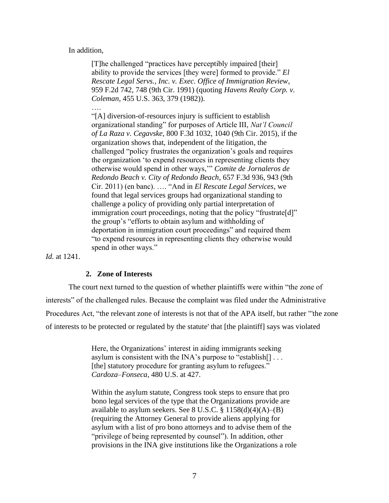In addition,

[T]he challenged "practices have perceptibly impaired [their] ability to provide the services [they were] formed to provide." *El Rescate Legal Servs., Inc. v. Exec. Office of Immigration Review*, 959 F.2d 742, 748 (9th Cir. 1991) (quoting *Havens Realty Corp. v. Coleman*, 455 U.S. 363, 379 (1982)).

…. "[A] diversion-of-resources injury is sufficient to establish organizational standing" for purposes of Article III, *Nat'l Council of La Raza v. Cegavske*, 800 F.3d 1032, 1040 (9th Cir. 2015), if the organization shows that, independent of the litigation, the challenged "policy frustrates the organization's goals and requires the organization 'to expend resources in representing clients they otherwise would spend in other ways,'" *Comite de Jornaleros de Redondo Beach v. City of Redondo Beach*, 657 F.3d 936, 943 (9th Cir. 2011) (en banc). …. "And in *El Rescate Legal Services*, we found that legal services groups had organizational standing to challenge a policy of providing only partial interpretation of immigration court proceedings, noting that the policy "frustrate[d]" the group's "efforts to obtain asylum and withholding of deportation in immigration court proceedings" and required them "to expend resources in representing clients they otherwise would spend in other ways."

*Id.* at 1241.

#### **2. Zone of Interests**

The court next turned to the question of whether plaintiffs were within "the zone of interests" of the challenged rules. Because the complaint was filed under the Administrative Procedures Act, "the relevant zone of interests is not that of the APA itself, but rather "'the zone of interests to be protected or regulated by the statute' that [the plaintiff] says was violated

> Here, the Organizations' interest in aiding immigrants seeking asylum is consistent with the INA's purpose to "establish[] . . . [the] statutory procedure for granting asylum to refugees." *Cardoza–Fonseca*, 480 U.S. at 427.

Within the asylum statute, Congress took steps to ensure that pro bono legal services of the type that the Organizations provide are available to asylum seekers. See 8 U.S.C.  $\S 1158(d)(4)(A)$ –(B) (requiring the Attorney General to provide aliens applying for asylum with a list of pro bono attorneys and to advise them of the "privilege of being represented by counsel"). In addition, other provisions in the INA give institutions like the Organizations a role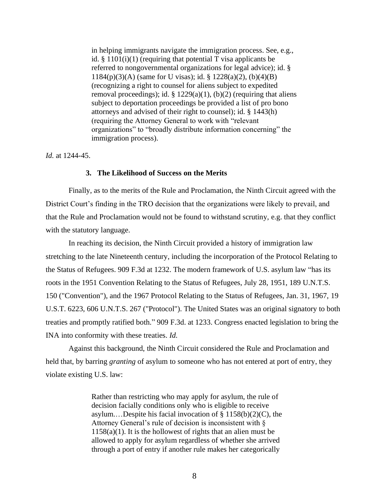in helping immigrants navigate the immigration process. See, e.g., id.  $\S$  1101(i)(1) (requiring that potential T visa applicants be referred to nongovernmental organizations for legal advice); id. § 1184(p)(3)(A) (same for U visas); id. § 1228(a)(2), (b)(4)(B) (recognizing a right to counsel for aliens subject to expedited removal proceedings); id.  $\S$  1229(a)(1), (b)(2) (requiring that aliens subject to deportation proceedings be provided a list of pro bono attorneys and advised of their right to counsel); id. § 1443(h) (requiring the Attorney General to work with "relevant organizations" to "broadly distribute information concerning" the immigration process).

*Id.* at 1244-45.

#### **3. The Likelihood of Success on the Merits**

Finally, as to the merits of the Rule and Proclamation, the Ninth Circuit agreed with the District Court's finding in the TRO decision that the organizations were likely to prevail, and that the Rule and Proclamation would not be found to withstand scrutiny, e.g. that they conflict with the statutory language.

In reaching its decision, the Ninth Circuit provided a history of immigration law stretching to the late Nineteenth century, including the incorporation of the Protocol Relating to the Status of Refugees. 909 F.3d at 1232. The modern framework of U.S. asylum law "has its roots in the 1951 Convention Relating to the Status of Refugees, July 28, 1951, 189 U.N.T.S. 150 ("Convention"), and the 1967 Protocol Relating to the Status of Refugees, Jan. 31, 1967, [19](https://advance.lexis.com/api/document?collection=statutes-legislation&id=urn:contentItem:403V-WF10-00V4-M0G9-00000-00&context=)  [U.S.T. 6223,](https://advance.lexis.com/api/document?collection=statutes-legislation&id=urn:contentItem:403V-WF10-00V4-M0G9-00000-00&context=) 606 U.N.T.S. 267 ("Protocol"). The United States was an original signatory to both treaties and promptly ratified both." 909 F.3d. at 1233. Congress enacted legislation to bring the INA into conformity with these treaties. *Id.* 

Against this background, the Ninth Circuit considered the Rule and Proclamation and held that, by barring *granting* of asylum to someone who has not entered at port of entry, they violate existing U.S. law:

> Rather than restricting who may apply for asylum, the rule of decision facially conditions only who is eligible to receive asylum....Despite his facial invocation of  $\S 1158(b)(2)(C)$ , the Attorney General's rule of decision is inconsistent with §  $1158(a)(1)$ . It is the hollowest of rights that an alien must be allowed to apply for asylum regardless of whether she arrived through a port of entry if another rule makes her categorically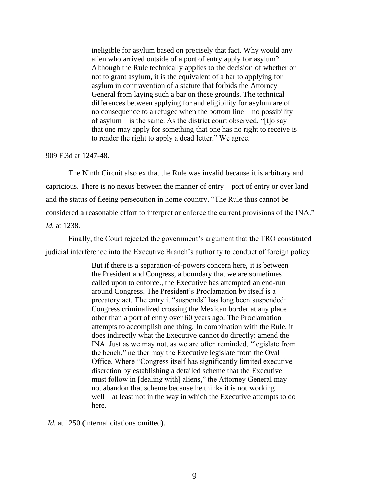ineligible for asylum based on precisely that fact. Why would any alien who arrived outside of a port of entry apply for asylum? Although the Rule technically applies to the decision of whether or not to grant asylum, it is the equivalent of a bar to applying for asylum in contravention of a statute that forbids the Attorney General from laying such a bar on these grounds. The technical differences between applying for and eligibility for asylum are of no consequence to a refugee when the bottom line—no possibility of asylum—is the same. As the district court observed, "[t]o say that one may apply for something that one has no right to receive is to render the right to apply a dead letter." We agree.

#### 909 F.3d at 1247-48.

The Ninth Circuit also ex that the Rule was invalid because it is arbitrary and capricious. There is no nexus between the manner of entry – port of entry or over land – and the status of fleeing persecution in home country. "The Rule thus cannot be considered a reasonable effort to interpret or enforce the current provisions of the INA." *Id.* at 1238.

Finally, the Court rejected the government's argument that the TRO constituted judicial interference into the Executive Branch's authority to conduct of foreign policy:

> But if there is a separation-of-powers concern here, it is between the President and Congress, a boundary that we are sometimes called upon to enforce., the Executive has attempted an end-run around Congress. The President's Proclamation by itself is a precatory act. The entry it "suspends" has long been suspended: Congress criminalized crossing the Mexican border at any place other than a port of entry over 60 years ago. The Proclamation attempts to accomplish one thing. In combination with the Rule, it does indirectly what the Executive cannot do directly: amend the INA. Just as we may not, as we are often reminded, "legislate from the bench," neither may the Executive legislate from the Oval Office. Where "Congress itself has significantly limited executive discretion by establishing a detailed scheme that the Executive must follow in [dealing with] aliens," the Attorney General may not abandon that scheme because he thinks it is not working well—at least not in the way in which the Executive attempts to do here.

*Id.* at 1250 (internal citations omitted).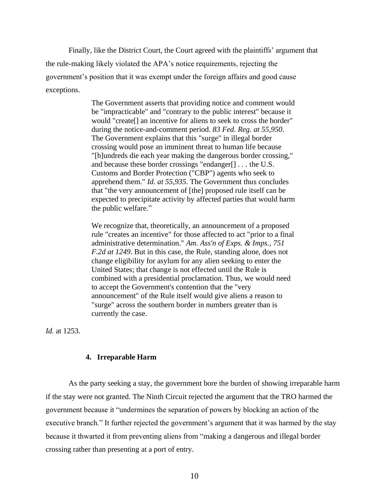Finally, like the District Court, the Court agreed with the plaintiffs' argument that the rule-making likely violated the APA's notice requirements, rejecting the government's position that it was exempt under the foreign affairs and good cause exceptions.

> The Government asserts that providing notice and comment would be "impracticable" and "contrary to the public interest" because it would "create[] an incentive for aliens to seek to cross the border" during the notice-and-comment period. *[83 Fed. Reg. at 55,950](https://advance.lexis.com/api/document?collection=administrative-codes&id=urn:contentItem:5TP4-S031-FFTT-X2KH-00000-00&context=)*. The Government explains that this "surge" in illegal border crossing would pose an imminent threat to human life because "[h]undreds die each year making the dangerous border crossing," and because these border crossings "endanger[] . . . the U.S. Customs and Border Protection ("CBP") agents who seek to apprehend them." *[Id.](https://advance.lexis.com/api/document?collection=administrative-codes&id=urn:contentItem:5TP4-S031-FFTT-X2KH-00000-00&context=) [at 55,935](https://advance.lexis.com/api/document?collection=administrative-codes&id=urn:contentItem:5TP4-S031-FFTT-X2KH-00000-00&context=)*. The Government thus concludes that "the very announcement of [the] proposed rule itself can be expected to precipitate activity by affected parties that would harm the public welfare."

> We recognize that, theoretically, an announcement of a proposed rule "creates an incentive" for those affected to act "prior to a final administrative determination." *[Am. Ass'n of Exps. & Imps., 751](https://advance.lexis.com/api/document?collection=cases&id=urn:contentItem:3S4V-K400-0039-V1YG-00000-00&context=)  [F.2d at 1249](https://advance.lexis.com/api/document?collection=cases&id=urn:contentItem:3S4V-K400-0039-V1YG-00000-00&context=)*. But in this case, the Rule, standing alone, does not change eligibility for asylum for any alien seeking to enter the United States; that change is not effected until the Rule is combined with a presidential proclamation. Thus, we would need to accept the Government's contention that the "very announcement" of the Rule itself would give aliens a reason to "surge" across the southern border in numbers greater than is currently the case.

*Id.* at 1253.

#### **4. Irreparable Harm**

As the party seeking a stay, the government bore the burden of showing irreparable harm if the stay were not granted. The Ninth Circuit rejected the argument that the TRO harmed the government because it "undermines the separation of powers by blocking an action of the executive branch." It further rejected the government's argument that it was harmed by the stay because it thwarted it from preventing aliens from "making a dangerous and illegal border crossing rather than presenting at a port of entry.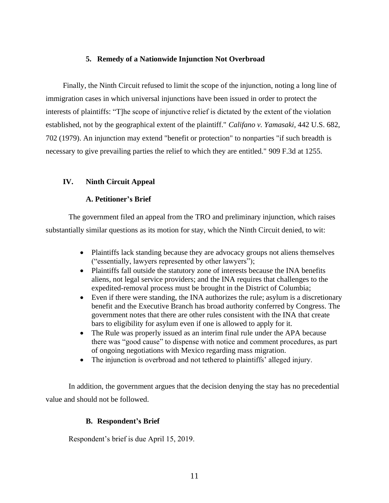## **5. Remedy of a Nationwide Injunction Not Overbroad**

Finally, the Ninth Circuit refused to limit the scope of the injunction, noting a long line of immigration cases in which universal injunctions have been issued in order to protect the interests of plaintiffs: "T]he scope of injunctive relief is dictated by the extent of the violation established, not by the geographical extent of the plaintiff." *[Califano v. Yamasaki,](https://advance.lexis.com/api/document?collection=cases&id=urn:contentItem:3S4X-8160-003B-S13R-00000-00&context=)* [442 U.S. 682,](https://advance.lexis.com/api/document?collection=cases&id=urn:contentItem:3S4X-8160-003B-S13R-00000-00&context=)  [702 \(1979\).](https://advance.lexis.com/api/document?collection=cases&id=urn:contentItem:3S4X-8160-003B-S13R-00000-00&context=) An injunction may extend "benefit or protection" to nonparties "if such breadth is necessary to give prevailing parties the relief to which they are entitled." 909 F.3d at 1255.

## **IV. Ninth Circuit Appeal**

## **A. Petitioner's Brief**

The government filed an appeal from the TRO and preliminary injunction, which raises substantially similar questions as its motion for stay, which the Ninth Circuit denied, to wit:

- Plaintiffs lack standing because they are advocacy groups not aliens themselves ("essentially, lawyers represented by other lawyers");
- Plaintiffs fall outside the statutory zone of interests because the INA benefits aliens, not legal service providers; and the INA requires that challenges to the expedited-removal process must be brought in the District of Columbia;
- Even if there were standing, the INA authorizes the rule; asylum is a discretionary benefit and the Executive Branch has broad authority conferred by Congress. The government notes that there are other rules consistent with the INA that create bars to eligibility for asylum even if one is allowed to apply for it.
- The Rule was properly issued as an interim final rule under the APA because there was "good cause" to dispense with notice and comment procedures, as part of ongoing negotiations with Mexico regarding mass migration.
- The injunction is overbroad and not tethered to plaintiffs' alleged injury.

In addition, the government argues that the decision denying the stay has no precedential value and should not be followed.

#### **B. Respondent's Brief**

Respondent's brief is due April 15, 2019.